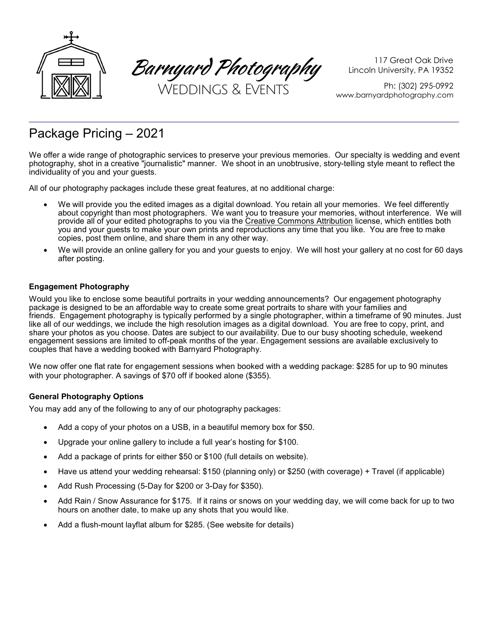

Barnyard Photography

117 Great Oak Drive Lincoln University, PA 19352

Ph: (302) 295-0992 www.barnyardphotography.com

# Package Pricing – 2021

We offer a wide range of photographic services to preserve your previous memories. Our specialty is wedding and event photography, shot in a creative "journalistic" manner. We shoot in an unobtrusive, story-telling style meant to reflect the individuality of you and your guests.

All of our photography packages include these great features, at no additional charge:

- We will provide you the edited images as a digital download. You retain all your memories. We feel differently about copyright than most photographers. We want you to treasure your memories, without interference. We will provide all of your edited photographs to you via the Creative Commons Attribution license, which entitles both you and your guests to make your own prints and reproductions any time that you like. You are free to make copies, post them online, and share them in any other way.
- We will provide an online gallery for you and your guests to enjoy. We will host your gallery at no cost for 60 days after posting.

# Engagement Photography

Would you like to enclose some beautiful portraits in your wedding announcements? Our engagement photography package is designed to be an affordable way to create some great portraits to share with your families and friends. Engagement photography is typically performed by a single photographer, within a timeframe of 90 minutes. Just like all of our weddings, we include the high resolution images as a digital download. You are free to copy, print, and share your photos as you choose. Dates are subject to our availability. Due to our busy shooting schedule, weekend engagement sessions are limited to off-peak months of the year. Engagement sessions are available exclusively to couples that have a wedding booked with Barnyard Photography.

We now offer one flat rate for engagement sessions when booked with a wedding package: \$285 for up to 90 minutes with your photographer. A savings of \$70 off if booked alone (\$355).

# General Photography Options

You may add any of the following to any of our photography packages:

- Add a copy of your photos on a USB, in a beautiful memory box for \$50.
- Upgrade your online gallery to include a full year's hosting for \$100.
- Add a package of prints for either \$50 or \$100 (full details on website).
- Have us attend your wedding rehearsal: \$150 (planning only) or \$250 (with coverage) + Travel (if applicable)
- Add Rush Processing (5-Day for \$200 or 3-Day for \$350).
- Add Rain / Snow Assurance for \$175. If it rains or snows on your wedding day, we will come back for up to two hours on another date, to make up any shots that you would like.
- Add a flush-mount layflat album for \$285. (See website for details)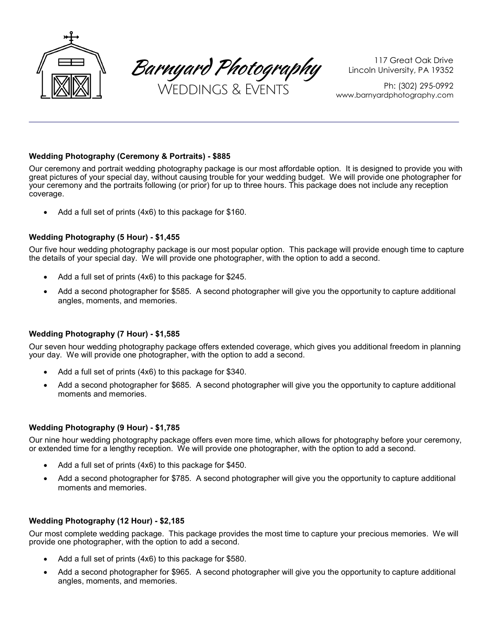

Barnyard Photography

117 Great Oak Drive Lincoln University, PA 19352

Ph: (302) 295-0992 www.barnyardphotography.com

# Wedding Photography (Ceremony & Portraits) - \$885

Our ceremony and portrait wedding photography package is our most affordable option. It is designed to provide you with great pictures of your special day, without causing trouble for your wedding budget. We will provide one photographer for your ceremony and the portraits following (or prior) for up to three hours. This package does not include any reception coverage.

Add a full set of prints (4x6) to this package for \$160.

## Wedding Photography (5 Hour) - \$1,455

Our five hour wedding photography package is our most popular option. This package will provide enough time to capture the details of your special day. We will provide one photographer, with the option to add a second.

- Add a full set of prints (4x6) to this package for \$245.
- Add a second photographer for \$585. A second photographer will give you the opportunity to capture additional angles, moments, and memories.

## Wedding Photography (7 Hour) - \$1,585

Our seven hour wedding photography package offers extended coverage, which gives you additional freedom in planning your day. We will provide one photographer, with the option to add a second.

- Add a full set of prints (4x6) to this package for \$340.
- Add a second photographer for \$685. A second photographer will give you the opportunity to capture additional moments and memories.

## Wedding Photography (9 Hour) - \$1,785

Our nine hour wedding photography package offers even more time, which allows for photography before your ceremony, or extended time for a lengthy reception. We will provide one photographer, with the option to add a second.

- Add a full set of prints (4x6) to this package for \$450.
- Add a second photographer for \$785. A second photographer will give you the opportunity to capture additional moments and memories.

## Wedding Photography (12 Hour) - \$2,185

Our most complete wedding package. This package provides the most time to capture your precious memories. We will provide one photographer, with the option to add a second.

- Add a full set of prints (4x6) to this package for \$580.
- Add a second photographer for \$965. A second photographer will give you the opportunity to capture additional angles, moments, and memories.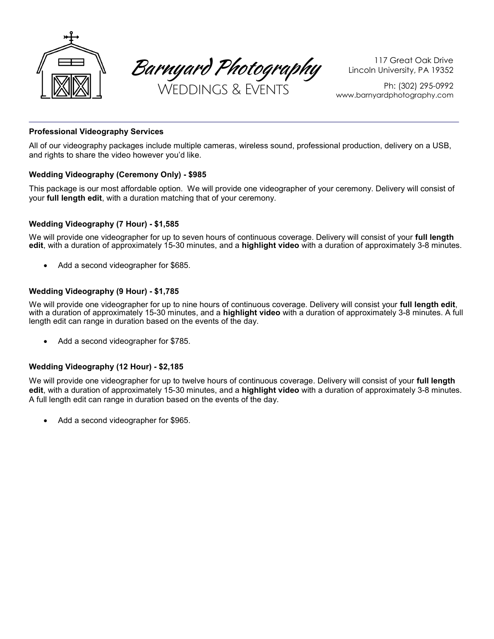

Barnyard Photography

117 Great Oak Drive Lincoln University, PA 19352

Ph: (302) 295-0992 www.barnyardphotography.com

# Professional Videography Services

All of our videography packages include multiple cameras, wireless sound, professional production, delivery on a USB, and rights to share the video however you'd like.

## Wedding Videography (Ceremony Only) - \$985

This package is our most affordable option. We will provide one videographer of your ceremony. Delivery will consist of your full length edit, with a duration matching that of your ceremony.

## Wedding Videography (7 Hour) - \$1,585

We will provide one videographer for up to seven hours of continuous coverage. Delivery will consist of your full length edit, with a duration of approximately 15-30 minutes, and a highlight video with a duration of approximately 3-8 minutes.

Add a second videographer for \$685.

# Wedding Videography (9 Hour) - \$1,785

We will provide one videographer for up to nine hours of continuous coverage. Delivery will consist your full length edit, with a duration of approximately 15-30 minutes, and a **highlight video** with a duration of approximately 3-8 minutes. A full length edit can range in duration based on the events of the day.

• Add a second videographer for \$785.

## Wedding Videography (12 Hour) - \$2,185

We will provide one videographer for up to twelve hours of continuous coverage. Delivery will consist of your full length edit, with a duration of approximately 15-30 minutes, and a highlight video with a duration of approximately 3-8 minutes. A full length edit can range in duration based on the events of the day.

Add a second videographer for \$965.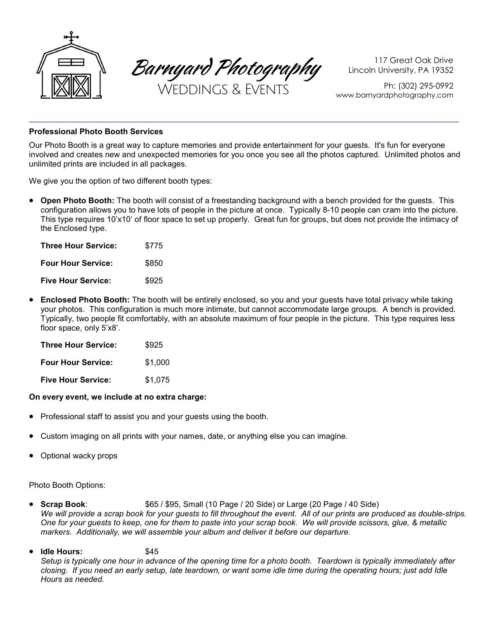

Barnyard Photography

117 Great Oak Drive Lincoln University, PA 19352

Ph: (302) 295-0992 www.barnyardphotography.com

## Professional Photo Booth Services

Our Photo Booth is a great way to capture memories and provide entertainment for your guests. It's fun for everyone involved and creates new and unexpected memories for you once you see all the photos captured. Unlimited photos and unlimited prints are included in all packages.

We give you the option of two different booth types:

• Open Photo Booth: The booth will consist of a freestanding background with a bench provided for the guests. This configuration allows you to have lots of people in the picture at once. Typically 8-10 people can cram into the picture. This type requires 10'x10' of floor space to set up properly. Great fun for groups, but does not provide the intimacy of the Enclosed type.

| Three Hour Service:       | \$775 |
|---------------------------|-------|
| <b>Four Hour Service:</b> | \$850 |
| <b>Five Hour Service:</b> | \$925 |

• Enclosed Photo Booth: The booth will be entirely enclosed, so you and your quests have total privacy while taking your photos. This configuration is much more intimate, but cannot accommodate large groups. A bench is provided. Typically, two people fit comfortably, with an absolute maximum of four people in the picture. This type requires less floor space, only 5'x8'.

| Three Hour Service:       | \$925   |
|---------------------------|---------|
| <b>Four Hour Service:</b> | \$1,000 |
| <b>Five Hour Service:</b> | \$1,075 |

## On every event, we include at no extra charge:

- Professional staff to assist you and your guests using the booth.
- Custom imaging on all prints with your names, date, or anything else you can imagine.
- Optional wacky props

Photo Booth Options:

- Scrap Book:  $$65 / $95$ , Small (10 Page / 20 Side) or Large (20 Page / 40 Side) We will provide a scrap book for your guests to fill throughout the event. All of our prints are produced as double-strips. One for your guests to keep, one for them to paste into your scrap book. We will provide scissors, glue, & metallic markers. Additionally, we will assemble your album and deliver it before our departure.
- Idle Hours: \$45

Setup is typically one hour in advance of the opening time for a photo booth. Teardown is typically immediately after closing. If you need an early setup, late teardown, or want some idle time during the operating hours; just add Idle Hours as needed.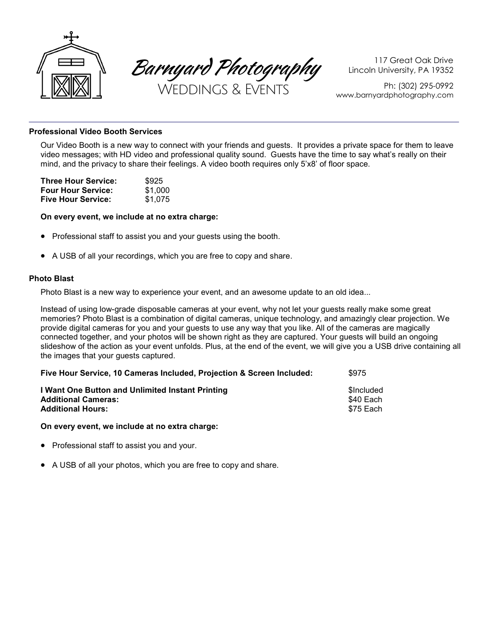

Barnyard Photography

117 Great Oak Drive Lincoln University, PA 19352

Ph: (302) 295-0992 www.barnyardphotography.com

## Professional Video Booth Services

Our Video Booth is a new way to connect with your friends and guests. It provides a private space for them to leave video messages; with HD video and professional quality sound. Guests have the time to say what's really on their mind, and the privacy to share their feelings. A video booth requires only 5'x8' of floor space.

| Three Hour Service:       | \$925   |
|---------------------------|---------|
| <b>Four Hour Service:</b> | \$1,000 |
| <b>Five Hour Service:</b> | \$1.075 |

## On every event, we include at no extra charge:

- Professional staff to assist you and your guests using the booth.
- A USB of all your recordings, which you are free to copy and share.

## Photo Blast

Photo Blast is a new way to experience your event, and an awesome update to an old idea...

Instead of using low-grade disposable cameras at your event, why not let your guests really make some great memories? Photo Blast is a combination of digital cameras, unique technology, and amazingly clear projection. We provide digital cameras for you and your guests to use any way that you like. All of the cameras are magically connected together, and your photos will be shown right as they are captured. Your guests will build an ongoing slideshow of the action as your event unfolds. Plus, at the end of the event, we will give you a USB drive containing all the images that your guests captured.

| Five Hour Service, 10 Cameras Included, Projection & Screen Included:                                      | \$975                                |
|------------------------------------------------------------------------------------------------------------|--------------------------------------|
| I Want One Button and Unlimited Instant Printing<br><b>Additional Cameras:</b><br><b>Additional Hours:</b> | \$Included<br>\$40 Each<br>\$75 Each |
|                                                                                                            |                                      |

## On every event, we include at no extra charge:

- Professional staff to assist you and your.
- A USB of all your photos, which you are free to copy and share.